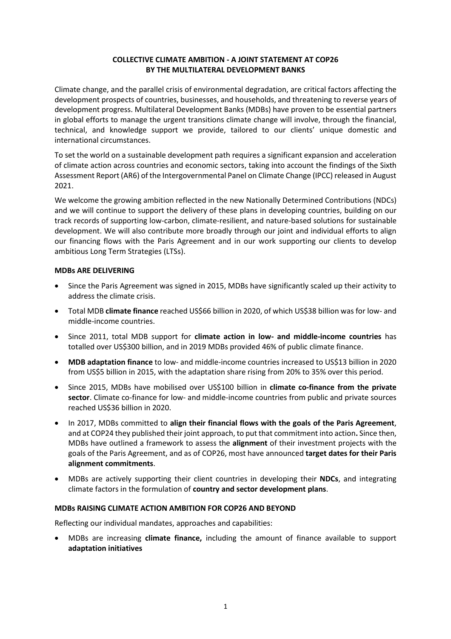## **COLLECTIVE CLIMATE AMBITION - A JOINT STATEMENT AT COP26 BY THE MULTILATERAL DEVELOPMENT BANKS**

Climate change, and the parallel crisis of environmental degradation, are critical factors affecting the development prospects of countries, businesses, and households, and threatening to reverse years of development progress. Multilateral Development Banks (MDBs) have proven to be essential partners in global efforts to manage the urgent transitions climate change will involve, through the financial, technical, and knowledge support we provide, tailored to our clients' unique domestic and international circumstances.

To set the world on a sustainable development path requires a significant expansion and acceleration of climate action across countries and economic sectors, taking into account the findings of the Sixth Assessment Report (AR6) of the Intergovernmental Panel on Climate Change (IPCC) released in August 2021.

We welcome the growing ambition reflected in the new Nationally Determined Contributions (NDCs) and we will continue to support the delivery of these plans in developing countries, building on our track records of supporting low-carbon, climate-resilient, and nature-based solutions for sustainable development. We will also contribute more broadly through our joint and individual efforts to align our financing flows with the Paris Agreement and in our work supporting our clients to develop ambitious Long Term Strategies (LTSs).

## **MDBs ARE DELIVERING**

- Since the Paris Agreement was signed in 2015, MDBs have significantly scaled up their activity to address the climate crisis.
- Total MDB **climate finance** reached US\$66 billion in 2020, of which US\$38 billion was for low- and middle-income countries.
- Since 2011, total MDB support for **climate action in low- and middle-income countries** has totalled over US\$300 billion, and in 2019 MDBs provided 46% of public climate finance.
- **MDB adaptation finance** to low- and middle-income countries increased to US\$13 billion in 2020 from US\$5 billion in 2015, with the adaptation share rising from 20% to 35% over this period.
- Since 2015, MDBs have mobilised over US\$100 billion in **climate co-finance from the private sector**. Climate co-finance for low- and middle-income countries from public and private sources reached US\$36 billion in 2020.
- In 2017, MDBs committed to **align their financial flows with the goals of the Paris Agreement**, and at COP24 they published their joint approach, to put that commitment into action**.** Since then, MDBs have outlined a framework to assess the **alignment** of their investment projects with the goals of the Paris Agreement, and as of COP26, most have announced **target dates for their Paris alignment commitments**.
- MDBs are actively supporting their client countries in developing their **NDCs**, and integrating climate factors in the formulation of **country and sector development plans**.

## **MDBs RAISING CLIMATE ACTION AMBITION FOR COP26 AND BEYOND**

Reflecting our individual mandates, approaches and capabilities:

• MDBs are increasing **climate finance,** including the amount of finance available to support **adaptation initiatives**